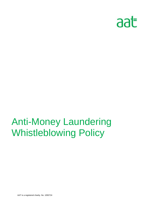

AAT is a registered charity. No. 1050724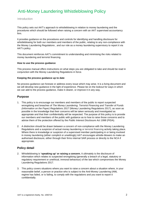#### Introduction

This policy sets out AAT's approach to whistleblowing in relation to money laundering and the procedures which should be followed when raising a concern with an AAT supervised accountancy firm.

It provides guidance on the procedures and controls for identifying and handling disclosure for whistleblowing for both our members and members of the public, relating to any non-compliance with the Money Laundering Regulations , and our role as a money laundering supervisory to report it via AAT's policy.

This document reinforces AAT's commitment to understanding and minimising the risks related to money laundering and terrorist financing.

#### **How to use the process guidance**

This process manual offers instructions on what steps you are obligated to take and should be read in conjunction with the Money Laundering Regulations in force.

#### **Keeping the process guidance up to date**

No process guidance can foresee or address every issue which may arise. It is a living document and we will develop new guidance in the light of experience. Please be on the lookout for ways in which we can add to the process guidance, make it clearer, or improve it in any way.

#### **Purpose**

- 1. This policy is to encourage our members and members of the public to report suspected wrongdoing and breaches of *The Money Laundering, Terrorist Financing and Transfer of Funds (Information on the Payer) Regulations 2017* (Money Laundering Regulations 2017), as soon as possible in the knowledge that their concerns will be taken seriously and investigated as appropriate and that their confidentiality will be respected. The purpose of this policy is to provide our members and members of the public with guidance as to how to raise those concerns and to advise them of the protection offered by the *Public Interest Disclosure Act 1998* (PIDA).
- 2. A distinction should be drawn between a concern of non-compliance with the Money Laundering Regulations and a suspicion of actual money laundering or terrorist financing activity taking place. Where there is knowledge or suspicion of a supervised member participating in or being involved in money laundering (either complicit or unwittingly) AAT encourages whistle-blowers to make an authorised disclosure, either through their firms internal SAR process or directly to the NCA if appropriate.

# **Policy detail**

- 2. Whistleblowing is **'speaking up' or raising a concern.** It ultimately is the disclosure of information which relates to suspected wrongdoing (generally a breach of a legal, statutory or regulatory requirement or unethical, immoral behaviour) of the law which compromises the Money Laundering Regulations 2017.
- 3. This policy covers situations where you want to raise a concern about a situation where, in your reasonable belief, a person or practice who is subject to the Anti-Money Laundering (AML regime has failed, or is failing, to comply with the regulations and you want to report it confidentially.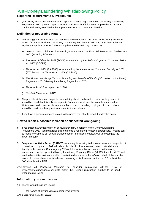# **Reporting Requirements & Procedures**

4. If you identify an accountancy firm which appears to be failing to adhere to the Money Laundering Regulations 2017, you can report it to AAT confidentially. If information is provided to us on a confidential basis, we will take the appropriate steps to protect your identity.

## **Definition of Reportable Matters**

- 5. AAT strongly encourages both our members and members of the public to report any current or historic failings in relation to the Money Laundering Regulations 2017 and other laws, rules and regulations applicable to AAT which comprises the UK AML regime such as:
	- a) potential breach of the requirements in, or made under the *Financial Services and Markets Act 2000* (including FCA rules)
	- b) *Proceeds of Crime Act 2002* (POCA) as amended by the *Serious Organised Crime and Police Act 2005* (SOCPA)
	- c) *Terrorism Act 2000* (TA 2000) as amended by the *Anti-terrorism Crime and Security Act 2001* (ATCSA) and the *Terrorism Act 2006* (TA 2006)
	- d) *The Money Laundering, Terrorist Financing and Transfer of Funds, (Information on the Payer) Regulations 2017* (Money Laundering Regulations 2017)
	- e) *Terrorist Asset-Freezing etc. Act 2010*
	- f) *Criminal Finances Act 2017*
- 6. The possible violation or suspected wrongdoing should be based on reasonable grounds. It should be noted that this policy is separate from our normal member complaints procedure. Whistleblowing does not apply to personal grievances, including employment issues, which should be dealt with through internal organisational policies.
- 7. If you have a genuine concern related to the above, you should report it under this policy.

# **How to report a possible violation or suspected wrongdoing**

- 8. If you suspect wrongdoing by an accountancy firm, in relation to the Money Laundering Regulations 2017, you must raise this to us or to a regulator promptly if appropriate. Reports can be made anonymous but should provide enough information to allow AAT to investigate the matter properly.
- 9. **Suspicious Activity Report (SAR)** Where money laundering is disclosed, known or suspected, it is an offence to ignore it. AAT will advise the whistle-blower to make an authorised disclosure directly to the National Crime Agency (NCA). If the whistle-blower suspecting the money laundering is not the appointed Money Laundering Reporting Officer (MLRO) then the MLRO will need to be notified so they are able to make the disclosure to the NCA on behalf of the whistleblower. In cases where a whistle-blower is making a disclosure about their MLRO, submit the SAR directly to the NCA.
- AAT advises all Practicing Members to consider registering with the NCA at www.nationalcrimeagency.gov.uk to obtain their unique registration number to be used when making SARs.

# **Information you can disclose**

10. The following things are useful:

• the names of any individuals and/or firms involved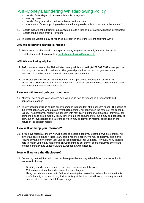- details of the alleged violation of a law, rule or regulation
- any key dates
- details of any internal procedures followed and outcome
- a summary of the supporting evidence you have provided is it known and substantiated?
- 11. Reports that are not sufficiently substantiated due to a lack of information will not be investigated. Reports can be done orally or in writing.
- 12. The possible violation may be reported internally in one or more of the following ways:

#### **AML Whistleblowing confidential mailbox**

12. Reports of a possible violation or suspected wrongdoing can be made by e-mail to the strictly confidential whistleblowing mailbox, **aml.whistleblowing@aat.org.uk** 

#### **AML Whistleblowing helpline**

- 14. AAT members can call the AML whistleblowing helpline on **+44 (0) 207 367 3182** where you can discuss your concerns in confidence. The general procedure is to ask for your name and membership number but you are welcome to remain anonymous
- 15. On receipt, your disclosure will be allocated to an appropriate investigating officer in the Professional Standards team, who will then carry out an assessment to determine whether there are grounds for any action to be taken*.*

#### **How we will investigate your concern**

- 16. After you have raised your concern AAT will decide how to respond in a responsible and appropriate manner.
- 17. The investigation will be carried out by someone independent of the concern raised. The scope of the investigation, and who acts as investigating officer, will depend on the nature of the concern raised. The person you raised your concern with may carry out the investigation or they may ask someone else to do so. Usually this will involve making enquiries first, but it may be necessary to carry out an investigation at a later stage which may be formal or informal depending on the nature of the concern raised.

#### **How will we keep you informed?**

18. If you have raised a concern we will, as far as possible keep you updated if we are considering further action or not and if there is any public reported action. We may contact you again if we require anything further from you, unless you specifically ask us not to. However, we will not be able to inform you of any matters which would infringe our duty of confidentiality to others and infringe our policy and various UK and European Law restrictions.

#### **How will we use the disclosure?**

- 19. Depending on the information that has been provided we may take different types of action in response including:
	- Deciding on whether a practice assurance review should take place
	- Making a confidential report to law enforcement agencies
	- Using the information as part of a formal investigation into a firm. Where the information is useful but might not lead to any further activity at the time, we will store it securely where it can be retrieved and used if things change.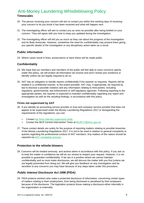## **Timescales**

- 20. The person receiving your concern will aim to contact you within five working days of receiving your concern to let you know it has been received and what will happen next.
- 21. The investigating officer will aim to contact you as soon as possible after being briefed on your concern. They will agree with you how to keep you updated during the investigation.
- 22. The investigating officer will tell you as much as they can about the progress of the investigation and its likely timescale. However, sometimes the need for confidentiality may prevent them giving you specific details of the investigation or any disciplinary action taken as a result.

# **Public information**

23. Where cases result in fines, prosecutions or bans these will be made public.

# **Confidentiality**

- 24. We hope that our members and members of the public will feel able to voice concerns openly under this policy, we will protect all information we receive and won't reveal your existence or identify unless we are legally required to do so.
- 25. AAT has an obligation to handle reports confidentially if the reporter so requests. Reports will be treated in a confidential manner, to the extent possible. AAT may, if appropriate, be required by law to disclose a possible violation and any information relating to third parties, including regulatory, governmental, law enforcement or self-regulatory agencies. Following reporting to the appropriate parties, the reporter is expected to maintain confidentiality regarding any report and investigation as well as the resulting findings, in accordance with this policy.

#### **Firms not supervised by AAT**

- 26. If you identify an accounting service provider or trust and company service provider that does not appear to be supervised under the Money Laundering Regulations 2017 or disregarding the requirements of the regulations, you can:
	- Contact the firms relevant supervisory body
	- Contact the MLR Central Intervention Team at MLRCIT@hmrc.gov.uk
- 27. These contact details are solely for the purpose of reporting matters relating to possible breaches of the *Money Laundering Regulations 2017*. It is not to be used in relation to general complaints or queries regarding the professional conduct of AAT members. Any matters of this nature should be reported via AAT complaints process

# **Protection to the whistle-blowers**

28. Concerns will be treated seriously, and actions taken in accordance with this policy. If you ask us to treat the matter in confidence we will do our utmost to respect your request. However, it is not possible to guarantee confidentiality. If we are in a position where we cannot maintain confidentiality and so must make disclosures, we will discuss the matter with you first (unless we are legally prevented from doing so). We will give you feedback on any investigation and be sensitive to any concerns you may have because of any steps taken under this procedure.

# *Public Interest Disclosure Act 1998* **(PIDA)**

29. PIDA protects workers who make a protected disclosure of information, concerning certain types of matters relating to their employment, from being dismissed or penalised by their employers because of the disclosure. The legislation protects those making a disclosure either internally in the organisation or externally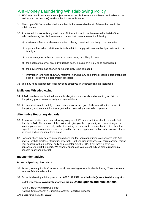- 30. PIDA sets conditions about the subject matter of the disclosure, the motivation and beliefs of the worker, and the person(s) to whom the disclosure is made.
- 31. The scope of PIDA includes disclosure that, in the reasonable belief of the worker, are in the public interest.
- 32. A protected disclosure is any disclosure of information which in the reasonable belief of the individual making the disclosure tends to show that one or more of the following:
	- a) a criminal offence has been committed, is being committed or is likely to be committed
	- b) a person has failed, is failing or is likely to fail to comply with any legal obligation to which he is subject
	- c) a miscarriage of justice has occurred, is occurring or is likely to occur
	- d) the health or safety of any individual has been, is being or is likely to be endangered
	- e) the environment has been, is being or is likely to be damaged
	- f) information tending to show any matter falling within any one of the preceding paragraphs has been or is likely to be deliberately concealed.
- 33. You may need independent legal advice to direct you in understanding this legislation.

## **Malicious Whistleblowing**

- 34. If AAT members are found to have made allegations maliciously and/or not in good faith, a disciplinary process may be instigated against them.
- 35. It is important to note that if you have raised a concern in good faith, you will not be subject to disciplinary action even if the investigation finds your allegations to be unproven.

#### **Alternative Reporting Methods**

- 36. A possible violation or suspected wrongdoing by a AAT supervised firm, should be made first directly to AAT. The purpose of this policy is to give you the opportunity and protection you need to raise your concerns internally without reporting the concern to external bodies. It is, therefore, expected that raising concerns internally will be the most appropriate action to be taken in almost all cases and so you must try to do so.
- 37. However, there may be circumstances where you feel you cannot raise your concern with AAT and you wish to disclose information externally. In these circumstances you could consider raising your concern with an external body or a regulator e.g. the FCA. It will rarely, if ever, be appropriate to alert the media. We strongly encourage you to seek advice before reporting a concern to anyone external.

#### **Independent advice**

#### **Protect - Speak up, Stop Harm**

- 38. Protect, formerly Public Concern at Work, are leading experts in whistleblowing. They operate a free, confidential advice line.
- 39. For whistleblowing advice you can call **020 3117 2520**, email **whistle@protect-advice.org.uk** or

visit the website at **www.protect-advice.org.uk Useful guides and publications** 

- AAT's *Code of Professional Ethics*
- National Crime Agency's Suspicious Activity Reporting guidance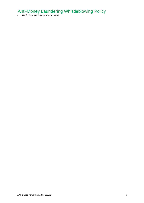• *Public Interest Disclosure Act 1998*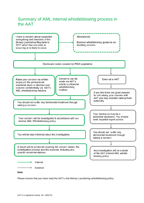# Summary of AML internal whistleblowing process in the AAT



**Note** 

Please ensure that you have read the AAT's *Anti-Money Laundering whistleblowing policy*.